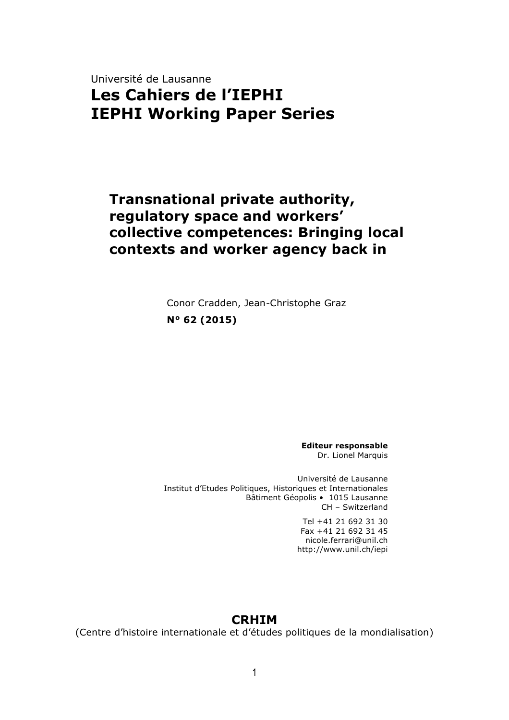## Université de Lausanne **Les Cahiers de l'IEPHI IEPHI Working Paper Series**

### **Transnational private authority, regulatory space and workers' collective competences: Bringing local contexts and worker agency back in**

Conor Cradden, Jean-Christophe Graz **N° 62 (2015)**

> **Editeur responsable** Dr. Lionel Marquis

Université de Lausanne Institut d'Etudes Politiques, Historiques et Internationales Bâtiment Géopolis • 1015 Lausanne CH – Switzerland

> Tel +41 21 692 31 30 Fax +41 21 692 31 45 nicole.ferrari@unil.ch http://www.unil.ch/iepi

#### **CRHIM**

(Centre d'histoire internationale et d'études politiques de la mondialisation)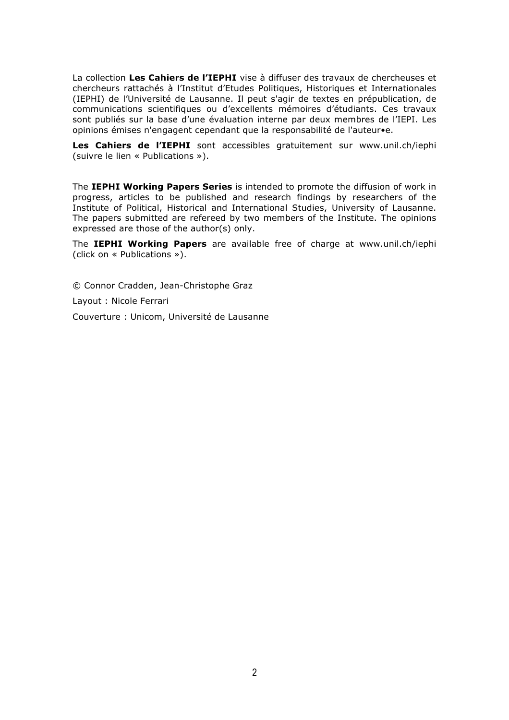La collection **Les Cahiers de l'IEPHI** vise à diffuser des travaux de chercheuses et chercheurs rattachés à l'Institut d'Etudes Politiques, Historiques et Internationales (IEPHI) de l'Université de Lausanne. Il peut s'agir de textes en prépublication, de communications scientifiques ou d'excellents mémoires d'étudiants. Ces travaux sont publiés sur la base d'une évaluation interne par deux membres de l'IEPI. Les opinions émises n'engagent cependant que la responsabilité de l'auteur•e.

**Les Cahiers de l'IEPHI** sont accessibles gratuitement sur www.unil.ch/iephi (suivre le lien « Publications »).

The **IEPHI Working Papers Series** is intended to promote the diffusion of work in progress, articles to be published and research findings by researchers of the Institute of Political, Historical and International Studies, University of Lausanne. The papers submitted are refereed by two members of the Institute. The opinions expressed are those of the author(s) only.

The **IEPHI Working Papers** are available free of charge at www.unil.ch/iephi (click on « Publications »).

© Connor Cradden, Jean-Christophe Graz

Layout : Nicole Ferrari

Couverture : Unicom, Université de Lausanne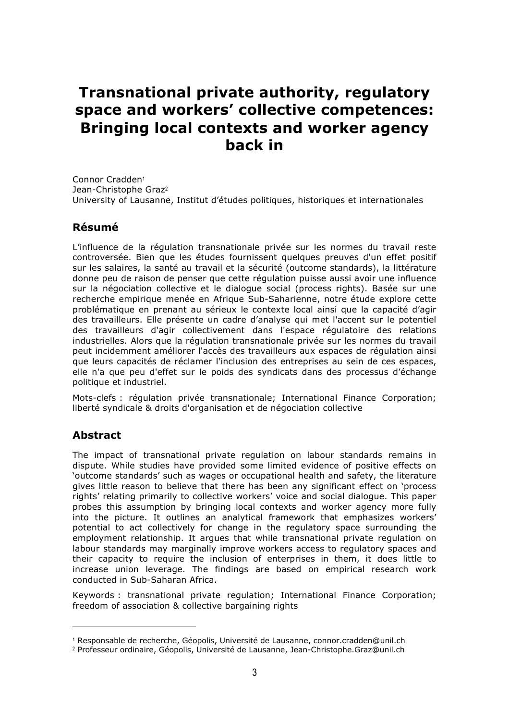# **Transnational private authority, regulatory space and workers' collective competences: Bringing local contexts and worker agency back in**

Connor Cradden<sup>1</sup> Jean-Christophe Graz<sup>2</sup> University of Lausanne, Institut d'études politiques, historiques et internationales

#### **Résumé**

L'influence de la régulation transnationale privée sur les normes du travail reste controversée. Bien que les études fournissent quelques preuves d'un effet positif sur les salaires, la santé au travail et la sécurité (outcome standards), la littérature donne peu de raison de penser que cette régulation puisse aussi avoir une influence sur la négociation collective et le dialogue social (process rights). Basée sur une recherche empirique menée en Afrique Sub-Saharienne, notre étude explore cette problématique en prenant au sérieux le contexte local ainsi que la capacité d'agir des travailleurs. Elle présente un cadre d'analyse qui met l'accent sur le potentiel des travailleurs d'agir collectivement dans l'espace régulatoire des relations industrielles. Alors que la régulation transnationale privée sur les normes du travail peut incidemment améliorer l'accès des travailleurs aux espaces de régulation ainsi que leurs capacités de réclamer l'inclusion des entreprises au sein de ces espaces, elle n'a que peu d'effet sur le poids des syndicats dans des processus d'échange politique et industriel.

Mots-clefs : régulation privée transnationale; International Finance Corporation; liberté syndicale & droits d'organisation et de négociation collective

#### **Abstract**

The impact of transnational private regulation on labour standards remains in dispute. While studies have provided some limited evidence of positive effects on 'outcome standards' such as wages or occupational health and safety, the literature gives little reason to believe that there has been any significant effect on 'process rights' relating primarily to collective workers' voice and social dialogue. This paper probes this assumption by bringing local contexts and worker agency more fully into the picture. It outlines an analytical framework that emphasizes workers' potential to act collectively for change in the regulatory space surrounding the employment relationship. It argues that while transnational private regulation on labour standards may marginally improve workers access to regulatory spaces and their capacity to require the inclusion of enterprises in them, it does little to increase union leverage. The findings are based on empirical research work conducted in Sub-Saharan Africa.

Keywords : transnational private regulation; International Finance Corporation; freedom of association & collective bargaining rights

<sup>1</sup> Responsable de recherche, Géopolis, Université de Lausanne, connor.cradden@unil.ch

<sup>2</sup> Professeur ordinaire, Géopolis, Université de Lausanne, Jean-Christophe.Graz@unil.ch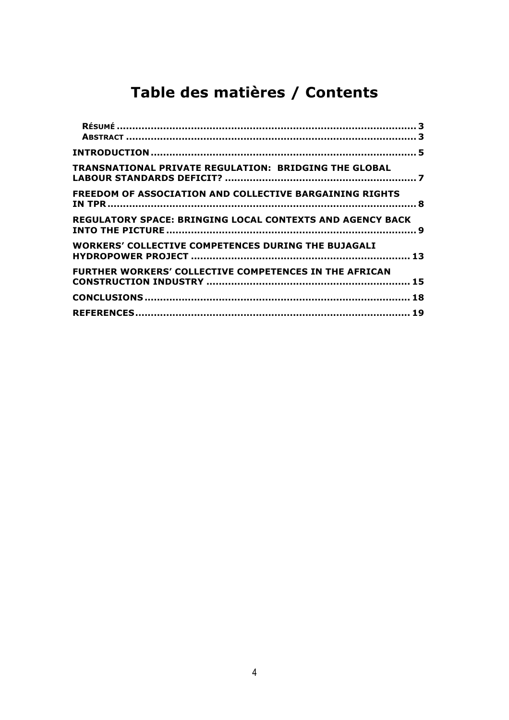# **Table des matières / Contents**

| <b>TRANSNATIONAL PRIVATE REGULATION: BRIDGING THE GLOBAL</b>     |  |
|------------------------------------------------------------------|--|
| FREEDOM OF ASSOCIATION AND COLLECTIVE BARGAINING RIGHTS          |  |
| <b>REGULATORY SPACE: BRINGING LOCAL CONTEXTS AND AGENCY BACK</b> |  |
| <b>WORKERS' COLLECTIVE COMPETENCES DURING THE BUJAGALI</b>       |  |
| <b>FURTHER WORKERS' COLLECTIVE COMPETENCES IN THE AFRICAN</b>    |  |
|                                                                  |  |
|                                                                  |  |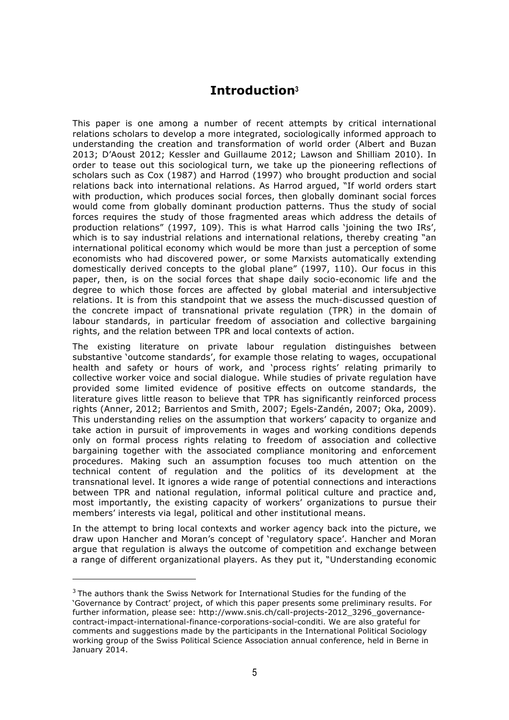#### **Introduction<sup>3</sup>**

This paper is one among a number of recent attempts by critical international relations scholars to develop a more integrated, sociologically informed approach to understanding the creation and transformation of world order (Albert and Buzan 2013; D'Aoust 2012; Kessler and Guillaume 2012; Lawson and Shilliam 2010). In order to tease out this sociological turn, we take up the pioneering reflections of scholars such as Cox (1987) and Harrod (1997) who brought production and social relations back into international relations. As Harrod argued, "If world orders start with production, which produces social forces, then globally dominant social forces would come from globally dominant production patterns. Thus the study of social forces requires the study of those fragmented areas which address the details of production relations" (1997, 109). This is what Harrod calls 'joining the two IRs', which is to say industrial relations and international relations, thereby creating "an international political economy which would be more than just a perception of some economists who had discovered power, or some Marxists automatically extending domestically derived concepts to the global plane" (1997, 110). Our focus in this paper, then, is on the social forces that shape daily socio-economic life and the degree to which those forces are affected by global material and intersubjective relations. It is from this standpoint that we assess the much-discussed question of the concrete impact of transnational private regulation (TPR) in the domain of labour standards, in particular freedom of association and collective bargaining rights, and the relation between TPR and local contexts of action.

The existing literature on private labour regulation distinguishes between substantive 'outcome standards', for example those relating to wages, occupational health and safety or hours of work, and 'process rights' relating primarily to collective worker voice and social dialogue. While studies of private regulation have provided some limited evidence of positive effects on outcome standards, the literature gives little reason to believe that TPR has significantly reinforced process rights (Anner, 2012; Barrientos and Smith, 2007; Egels-Zandén, 2007; Oka, 2009). This understanding relies on the assumption that workers' capacity to organize and take action in pursuit of improvements in wages and working conditions depends only on formal process rights relating to freedom of association and collective bargaining together with the associated compliance monitoring and enforcement procedures. Making such an assumption focuses too much attention on the technical content of regulation and the politics of its development at the transnational level. It ignores a wide range of potential connections and interactions between TPR and national regulation, informal political culture and practice and, most importantly, the existing capacity of workers' organizations to pursue their members' interests via legal, political and other institutional means.

In the attempt to bring local contexts and worker agency back into the picture, we draw upon Hancher and Moran's concept of 'regulatory space'. Hancher and Moran argue that regulation is always the outcome of competition and exchange between a range of different organizational players. As they put it, "Understanding economic

<sup>&</sup>lt;sup>3</sup> The authors thank the Swiss Network for International Studies for the funding of the 'Governance by Contract' project, of which this paper presents some preliminary results. For further information, please see: http://www.snis.ch/call-projects-2012\_3296\_governancecontract-impact-international-finance-corporations-social-conditi. We are also grateful for comments and suggestions made by the participants in the International Political Sociology working group of the Swiss Political Science Association annual conference, held in Berne in January 2014.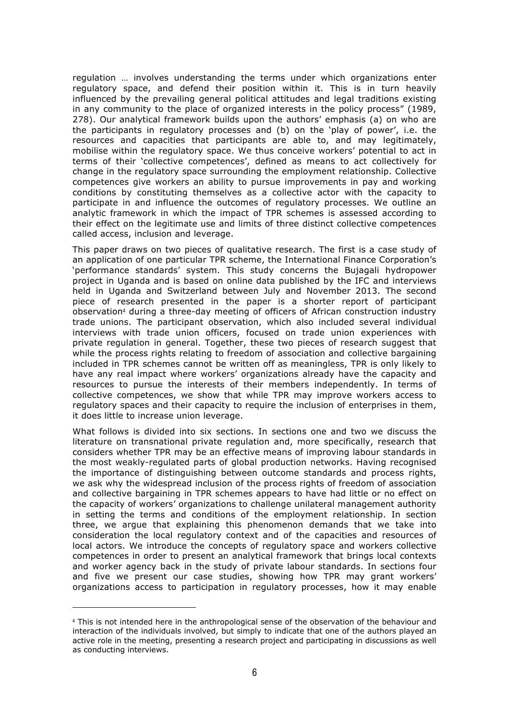regulation … involves understanding the terms under which organizations enter regulatory space, and defend their position within it. This is in turn heavily influenced by the prevailing general political attitudes and legal traditions existing in any community to the place of organized interests in the policy process" (1989, 278). Our analytical framework builds upon the authors' emphasis (a) on who are the participants in regulatory processes and (b) on the 'play of power', i.e. the resources and capacities that participants are able to, and may legitimately, mobilise within the regulatory space. We thus conceive workers' potential to act in terms of their 'collective competences', defined as means to act collectively for change in the regulatory space surrounding the employment relationship. Collective competences give workers an ability to pursue improvements in pay and working conditions by constituting themselves as a collective actor with the capacity to participate in and influence the outcomes of regulatory processes. We outline an analytic framework in which the impact of TPR schemes is assessed according to their effect on the legitimate use and limits of three distinct collective competences called access, inclusion and leverage.

This paper draws on two pieces of qualitative research. The first is a case study of an application of one particular TPR scheme, the International Finance Corporation's 'performance standards' system. This study concerns the Bujagali hydropower project in Uganda and is based on online data published by the IFC and interviews held in Uganda and Switzerland between July and November 2013. The second piece of research presented in the paper is a shorter report of participant observation<sup>4</sup> during a three-day meeting of officers of African construction industry trade unions. The participant observation, which also included several individual interviews with trade union officers, focused on trade union experiences with private regulation in general. Together, these two pieces of research suggest that while the process rights relating to freedom of association and collective bargaining included in TPR schemes cannot be written off as meaningless, TPR is only likely to have any real impact where workers' organizations already have the capacity and resources to pursue the interests of their members independently. In terms of collective competences, we show that while TPR may improve workers access to regulatory spaces and their capacity to require the inclusion of enterprises in them, it does little to increase union leverage.

What follows is divided into six sections. In sections one and two we discuss the literature on transnational private regulation and, more specifically, research that considers whether TPR may be an effective means of improving labour standards in the most weakly-regulated parts of global production networks. Having recognised the importance of distinguishing between outcome standards and process rights, we ask why the widespread inclusion of the process rights of freedom of association and collective bargaining in TPR schemes appears to have had little or no effect on the capacity of workers' organizations to challenge unilateral management authority in setting the terms and conditions of the employment relationship. In section three, we argue that explaining this phenomenon demands that we take into consideration the local regulatory context and of the capacities and resources of local actors. We introduce the concepts of regulatory space and workers collective competences in order to present an analytical framework that brings local contexts and worker agency back in the study of private labour standards. In sections four and five we present our case studies, showing how TPR may grant workers' organizations access to participation in regulatory processes, how it may enable

-

<sup>4</sup> This is not intended here in the anthropological sense of the observation of the behaviour and interaction of the individuals involved, but simply to indicate that one of the authors played an active role in the meeting, presenting a research project and participating in discussions as well as conducting interviews.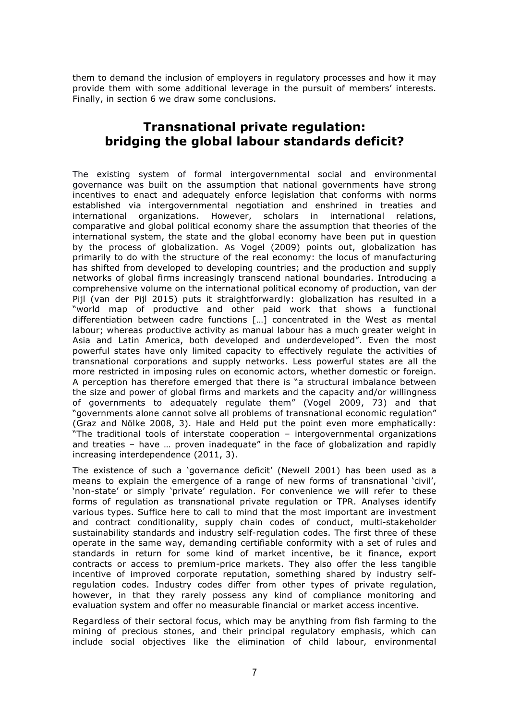them to demand the inclusion of employers in regulatory processes and how it may provide them with some additional leverage in the pursuit of members' interests. Finally, in section 6 we draw some conclusions.

#### **Transnational private regulation: bridging the global labour standards deficit?**

The existing system of formal intergovernmental social and environmental governance was built on the assumption that national governments have strong incentives to enact and adequately enforce legislation that conforms with norms established via intergovernmental negotiation and enshrined in treaties and international organizations. However, scholars in international relations, comparative and global political economy share the assumption that theories of the international system, the state and the global economy have been put in question by the process of globalization. As Vogel (2009) points out, globalization has primarily to do with the structure of the real economy: the locus of manufacturing has shifted from developed to developing countries; and the production and supply networks of global firms increasingly transcend national boundaries. Introducing a comprehensive volume on the international political economy of production, van der Pijl (van der Pijl 2015) puts it straightforwardly: globalization has resulted in a "world map of productive and other paid work that shows a functional differentiation between cadre functions […] concentrated in the West as mental labour; whereas productive activity as manual labour has a much greater weight in Asia and Latin America, both developed and underdeveloped". Even the most powerful states have only limited capacity to effectively regulate the activities of transnational corporations and supply networks. Less powerful states are all the more restricted in imposing rules on economic actors, whether domestic or foreign. A perception has therefore emerged that there is "a structural imbalance between the size and power of global firms and markets and the capacity and/or willingness of governments to adequately regulate them" (Vogel 2009, 73) and that "governments alone cannot solve all problems of transnational economic regulation" (Graz and Nölke 2008, 3). Hale and Held put the point even more emphatically: "The traditional tools of interstate cooperation – intergovernmental organizations and treaties – have … proven inadequate" in the face of globalization and rapidly increasing interdependence (2011, 3).

The existence of such a 'governance deficit' (Newell 2001) has been used as a means to explain the emergence of a range of new forms of transnational 'civil', 'non-state' or simply 'private' regulation. For convenience we will refer to these forms of regulation as transnational private regulation or TPR. Analyses identify various types. Suffice here to call to mind that the most important are investment and contract conditionality, supply chain codes of conduct, multi-stakeholder sustainability standards and industry self-regulation codes. The first three of these operate in the same way, demanding certifiable conformity with a set of rules and standards in return for some kind of market incentive, be it finance, export contracts or access to premium-price markets. They also offer the less tangible incentive of improved corporate reputation, something shared by industry selfregulation codes. Industry codes differ from other types of private regulation, however, in that they rarely possess any kind of compliance monitoring and evaluation system and offer no measurable financial or market access incentive.

Regardless of their sectoral focus, which may be anything from fish farming to the mining of precious stones, and their principal regulatory emphasis, which can include social objectives like the elimination of child labour, environmental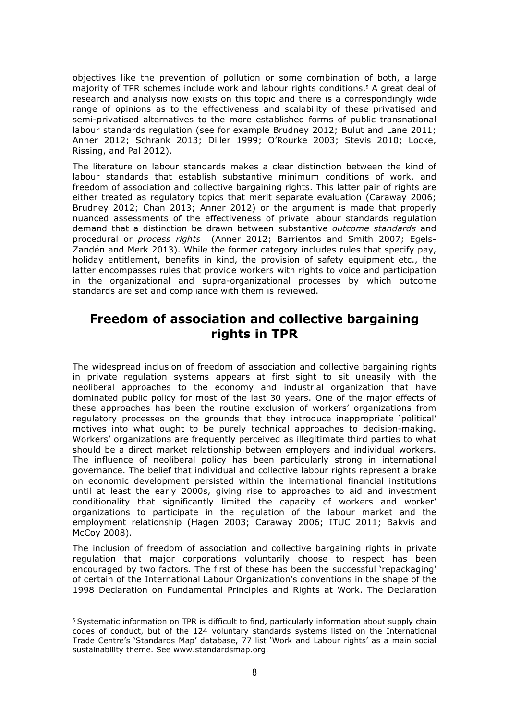objectives like the prevention of pollution or some combination of both, a large majority of TPR schemes include work and labour rights conditions.<sup>5</sup> A great deal of research and analysis now exists on this topic and there is a correspondingly wide range of opinions as to the effectiveness and scalability of these privatised and semi-privatised alternatives to the more established forms of public transnational labour standards regulation (see for example Brudney 2012; Bulut and Lane 2011; Anner 2012; Schrank 2013; Diller 1999; O'Rourke 2003; Stevis 2010; Locke, Rissing, and Pal 2012).

The literature on labour standards makes a clear distinction between the kind of labour standards that establish substantive minimum conditions of work, and freedom of association and collective bargaining rights. This latter pair of rights are either treated as regulatory topics that merit separate evaluation (Caraway 2006; Brudney 2012; Chan 2013; Anner 2012) or the argument is made that properly nuanced assessments of the effectiveness of private labour standards regulation demand that a distinction be drawn between substantive *outcome standards* and procedural or *process rights* (Anner 2012; Barrientos and Smith 2007; Egels-Zandén and Merk 2013). While the former category includes rules that specify pay, holiday entitlement, benefits in kind, the provision of safety equipment etc., the latter encompasses rules that provide workers with rights to voice and participation in the organizational and supra-organizational processes by which outcome standards are set and compliance with them is reviewed.

#### **Freedom of association and collective bargaining rights in TPR**

The widespread inclusion of freedom of association and collective bargaining rights in private regulation systems appears at first sight to sit uneasily with the neoliberal approaches to the economy and industrial organization that have dominated public policy for most of the last 30 years. One of the major effects of these approaches has been the routine exclusion of workers' organizations from regulatory processes on the grounds that they introduce inappropriate 'political' motives into what ought to be purely technical approaches to decision-making. Workers' organizations are frequently perceived as illegitimate third parties to what should be a direct market relationship between employers and individual workers. The influence of neoliberal policy has been particularly strong in international governance. The belief that individual and collective labour rights represent a brake on economic development persisted within the international financial institutions until at least the early 2000s, giving rise to approaches to aid and investment conditionality that significantly limited the capacity of workers and worker' organizations to participate in the regulation of the labour market and the employment relationship (Hagen 2003; Caraway 2006; ITUC 2011; Bakvis and McCoy 2008).

The inclusion of freedom of association and collective bargaining rights in private regulation that major corporations voluntarily choose to respect has been encouraged by two factors. The first of these has been the successful 'repackaging' of certain of the International Labour Organization's conventions in the shape of the 1998 Declaration on Fundamental Principles and Rights at Work. The Declaration

<sup>5</sup> Systematic information on TPR is difficult to find, particularly information about supply chain codes of conduct, but of the 124 voluntary standards systems listed on the International Trade Centre's 'Standards Map' database, 77 list 'Work and Labour rights' as a main social sustainability theme. See www.standardsmap.org.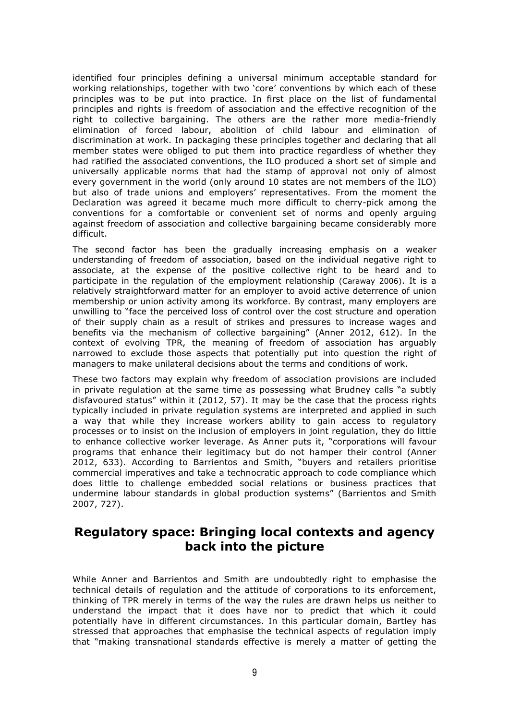identified four principles defining a universal minimum acceptable standard for working relationships, together with two 'core' conventions by which each of these principles was to be put into practice. In first place on the list of fundamental principles and rights is freedom of association and the effective recognition of the right to collective bargaining. The others are the rather more media-friendly elimination of forced labour, abolition of child labour and elimination of discrimination at work. In packaging these principles together and declaring that all member states were obliged to put them into practice regardless of whether they had ratified the associated conventions, the ILO produced a short set of simple and universally applicable norms that had the stamp of approval not only of almost every government in the world (only around 10 states are not members of the ILO) but also of trade unions and employers' representatives. From the moment the Declaration was agreed it became much more difficult to cherry-pick among the conventions for a comfortable or convenient set of norms and openly arguing against freedom of association and collective bargaining became considerably more difficult.

The second factor has been the gradually increasing emphasis on a weaker understanding of freedom of association, based on the individual negative right to associate, at the expense of the positive collective right to be heard and to participate in the regulation of the employment relationship (Caraway 2006). It is a relatively straightforward matter for an employer to avoid active deterrence of union membership or union activity among its workforce. By contrast, many employers are unwilling to "face the perceived loss of control over the cost structure and operation of their supply chain as a result of strikes and pressures to increase wages and benefits via the mechanism of collective bargaining" (Anner 2012, 612). In the context of evolving TPR, the meaning of freedom of association has arguably narrowed to exclude those aspects that potentially put into question the right of managers to make unilateral decisions about the terms and conditions of work.

These two factors may explain why freedom of association provisions are included in private regulation at the same time as possessing what Brudney calls "a subtly disfavoured status" within it (2012, 57). It may be the case that the process rights typically included in private regulation systems are interpreted and applied in such a way that while they increase workers ability to gain access to regulatory processes or to insist on the inclusion of employers in joint regulation, they do little to enhance collective worker leverage. As Anner puts it, "corporations will favour programs that enhance their legitimacy but do not hamper their control (Anner 2012, 633). According to Barrientos and Smith, "buyers and retailers prioritise commercial imperatives and take a technocratic approach to code compliance which does little to challenge embedded social relations or business practices that undermine labour standards in global production systems" (Barrientos and Smith 2007, 727).

#### **Regulatory space: Bringing local contexts and agency back into the picture**

While Anner and Barrientos and Smith are undoubtedly right to emphasise the technical details of regulation and the attitude of corporations to its enforcement, thinking of TPR merely in terms of the way the rules are drawn helps us neither to understand the impact that it does have nor to predict that which it could potentially have in different circumstances. In this particular domain, Bartley has stressed that approaches that emphasise the technical aspects of regulation imply that "making transnational standards effective is merely a matter of getting the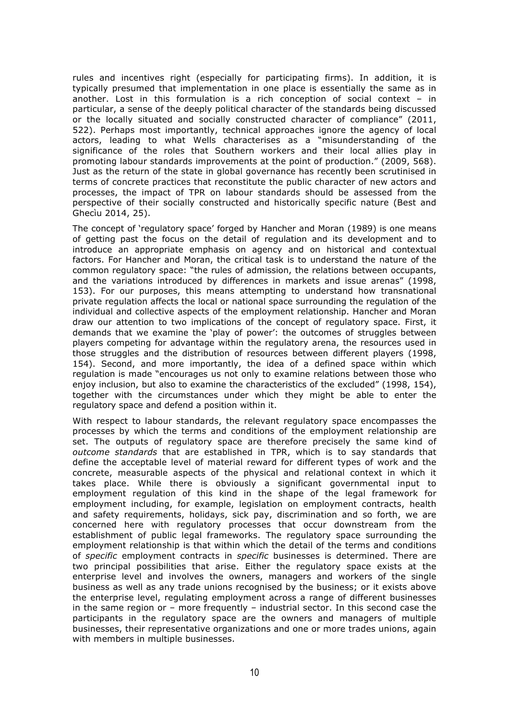rules and incentives right (especially for participating firms). In addition, it is typically presumed that implementation in one place is essentially the same as in another. Lost in this formulation is a rich conception of social context – in particular, a sense of the deeply political character of the standards being discussed or the locally situated and socially constructed character of compliance" (2011, 522). Perhaps most importantly, technical approaches ignore the agency of local actors, leading to what Wells characterises as a "misunderstanding of the significance of the roles that Southern workers and their local allies play in promoting labour standards improvements at the point of production." (2009, 568). Just as the return of the state in global governance has recently been scrutinised in terms of concrete practices that reconstitute the public character of new actors and processes, the impact of TPR on labour standards should be assessed from the perspective of their socially constructed and historically specific nature (Best and Ghecìu 2014, 25).

The concept of 'regulatory space' forged by Hancher and Moran (1989) is one means of getting past the focus on the detail of regulation and its development and to introduce an appropriate emphasis on agency and on historical and contextual factors. For Hancher and Moran, the critical task is to understand the nature of the common regulatory space: "the rules of admission, the relations between occupants, and the variations introduced by differences in markets and issue arenas" (1998, 153). For our purposes, this means attempting to understand how transnational private regulation affects the local or national space surrounding the regulation of the individual and collective aspects of the employment relationship. Hancher and Moran draw our attention to two implications of the concept of regulatory space. First, it demands that we examine the 'play of power': the outcomes of struggles between players competing for advantage within the regulatory arena, the resources used in those struggles and the distribution of resources between different players (1998, 154). Second, and more importantly, the idea of a defined space within which regulation is made "encourages us not only to examine relations between those who enjoy inclusion, but also to examine the characteristics of the excluded" (1998, 154), together with the circumstances under which they might be able to enter the regulatory space and defend a position within it.

With respect to labour standards, the relevant regulatory space encompasses the processes by which the terms and conditions of the employment relationship are set. The outputs of regulatory space are therefore precisely the same kind of *outcome standards* that are established in TPR, which is to say standards that define the acceptable level of material reward for different types of work and the concrete, measurable aspects of the physical and relational context in which it takes place. While there is obviously a significant governmental input to employment regulation of this kind in the shape of the legal framework for employment including, for example, legislation on employment contracts, health and safety requirements, holidays, sick pay, discrimination and so forth, we are concerned here with regulatory processes that occur downstream from the establishment of public legal frameworks. The regulatory space surrounding the employment relationship is that within which the detail of the terms and conditions of *specific* employment contracts in *specific* businesses is determined. There are two principal possibilities that arise. Either the regulatory space exists at the enterprise level and involves the owners, managers and workers of the single business as well as any trade unions recognised by the business; or it exists above the enterprise level, regulating employment across a range of different businesses in the same region or – more frequently – industrial sector. In this second case the participants in the regulatory space are the owners and managers of multiple businesses, their representative organizations and one or more trades unions, again with members in multiple businesses.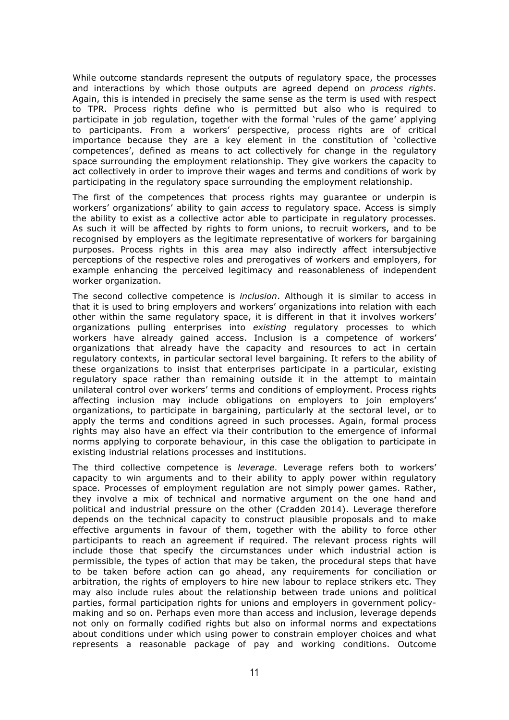While outcome standards represent the outputs of regulatory space, the processes and interactions by which those outputs are agreed depend on *process rights*. Again, this is intended in precisely the same sense as the term is used with respect to TPR. Process rights define who is permitted but also who is required to participate in job regulation, together with the formal 'rules of the game' applying to participants. From a workers' perspective, process rights are of critical importance because they are a key element in the constitution of 'collective competences', defined as means to act collectively for change in the regulatory space surrounding the employment relationship. They give workers the capacity to act collectively in order to improve their wages and terms and conditions of work by participating in the regulatory space surrounding the employment relationship.

The first of the competences that process rights may guarantee or underpin is workers' organizations' ability to gain *access* to regulatory space. Access is simply the ability to exist as a collective actor able to participate in regulatory processes. As such it will be affected by rights to form unions, to recruit workers, and to be recognised by employers as the legitimate representative of workers for bargaining purposes. Process rights in this area may also indirectly affect intersubjective perceptions of the respective roles and prerogatives of workers and employers, for example enhancing the perceived legitimacy and reasonableness of independent worker organization.

The second collective competence is *inclusion*. Although it is similar to access in that it is used to bring employers and workers' organizations into relation with each other within the same regulatory space, it is different in that it involves workers' organizations pulling enterprises into *existing* regulatory processes to which workers have already gained access. Inclusion is a competence of workers' organizations that already have the capacity and resources to act in certain regulatory contexts, in particular sectoral level bargaining. It refers to the ability of these organizations to insist that enterprises participate in a particular, existing regulatory space rather than remaining outside it in the attempt to maintain unilateral control over workers' terms and conditions of employment. Process rights affecting inclusion may include obligations on employers to join employers' organizations, to participate in bargaining, particularly at the sectoral level, or to apply the terms and conditions agreed in such processes. Again, formal process rights may also have an effect via their contribution to the emergence of informal norms applying to corporate behaviour, in this case the obligation to participate in existing industrial relations processes and institutions.

The third collective competence is *leverage*. Leverage refers both to workers' capacity to win arguments and to their ability to apply power within regulatory space. Processes of employment regulation are not simply power games. Rather, they involve a mix of technical and normative argument on the one hand and political and industrial pressure on the other (Cradden 2014). Leverage therefore depends on the technical capacity to construct plausible proposals and to make effective arguments in favour of them, together with the ability to force other participants to reach an agreement if required. The relevant process rights will include those that specify the circumstances under which industrial action is permissible, the types of action that may be taken, the procedural steps that have to be taken before action can go ahead, any requirements for conciliation or arbitration, the rights of employers to hire new labour to replace strikers etc. They may also include rules about the relationship between trade unions and political parties, formal participation rights for unions and employers in government policymaking and so on. Perhaps even more than access and inclusion, leverage depends not only on formally codified rights but also on informal norms and expectations about conditions under which using power to constrain employer choices and what represents a reasonable package of pay and working conditions. Outcome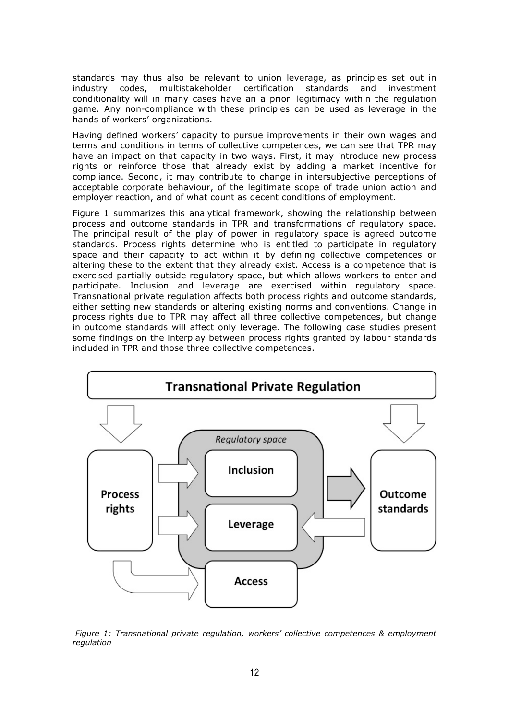standards may thus also be relevant to union leverage, as principles set out in industry codes, multistakeholder certification standards and investment conditionality will in many cases have an a priori legitimacy within the regulation game. Any non-compliance with these principles can be used as leverage in the hands of workers' organizations.

Having defined workers' capacity to pursue improvements in their own wages and terms and conditions in terms of collective competences, we can see that TPR may have an impact on that capacity in two ways. First, it may introduce new process rights or reinforce those that already exist by adding a market incentive for compliance. Second, it may contribute to change in intersubjective perceptions of acceptable corporate behaviour, of the legitimate scope of trade union action and employer reaction, and of what count as decent conditions of employment.

Figure 1 summarizes this analytical framework, showing the relationship between process and outcome standards in TPR and transformations of regulatory space. The principal result of the play of power in regulatory space is agreed outcome standards. Process rights determine who is entitled to participate in regulatory space and their capacity to act within it by defining collective competences or altering these to the extent that they already exist. Access is a competence that is exercised partially outside regulatory space, but which allows workers to enter and participate. Inclusion and leverage are exercised within regulatory space. Transnational private regulation affects both process rights and outcome standards, either setting new standards or altering existing norms and conventions. Change in process rights due to TPR may affect all three collective competences, but change in outcome standards will affect only leverage. The following case studies present some findings on the interplay between process rights granted by labour standards included in TPR and those three collective competences.



*Figure 1: Transnational private regulation, workers' collective competences & employment regulation*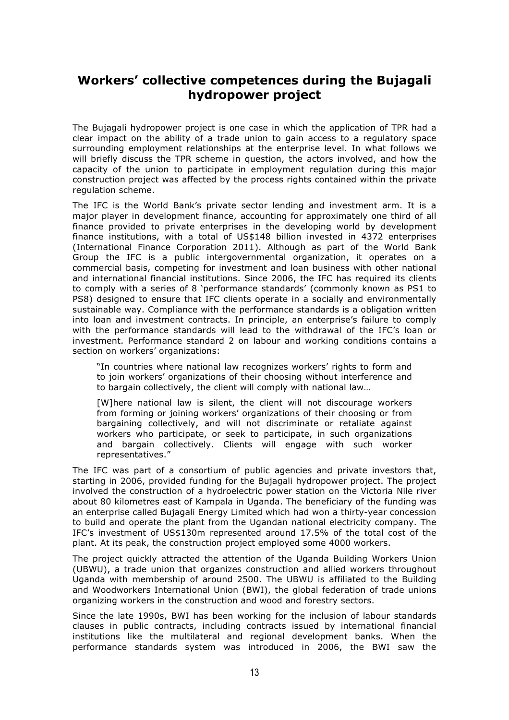#### **Workers' collective competences during the Bujagali hydropower project**

The Bujagali hydropower project is one case in which the application of TPR had a clear impact on the ability of a trade union to gain access to a regulatory space surrounding employment relationships at the enterprise level. In what follows we will briefly discuss the TPR scheme in question, the actors involved, and how the capacity of the union to participate in employment regulation during this major construction project was affected by the process rights contained within the private regulation scheme.

The IFC is the World Bank's private sector lending and investment arm. It is a major player in development finance, accounting for approximately one third of all finance provided to private enterprises in the developing world by development finance institutions, with a total of US\$148 billion invested in 4372 enterprises (International Finance Corporation 2011). Although as part of the World Bank Group the IFC is a public intergovernmental organization, it operates on a commercial basis, competing for investment and loan business with other national and international financial institutions. Since 2006, the IFC has required its clients to comply with a series of 8 'performance standards' (commonly known as PS1 to PS8) designed to ensure that IFC clients operate in a socially and environmentally sustainable way. Compliance with the performance standards is a obligation written into loan and investment contracts. In principle, an enterprise's failure to comply with the performance standards will lead to the withdrawal of the IFC's loan or investment. Performance standard 2 on labour and working conditions contains a section on workers' organizations:

"In countries where national law recognizes workers' rights to form and to join workers' organizations of their choosing without interference and to bargain collectively, the client will comply with national law…

[W]here national law is silent, the client will not discourage workers from forming or joining workers' organizations of their choosing or from bargaining collectively, and will not discriminate or retaliate against workers who participate, or seek to participate, in such organizations and bargain collectively. Clients will engage with such worker representatives."

The IFC was part of a consortium of public agencies and private investors that, starting in 2006, provided funding for the Bujagali hydropower project. The project involved the construction of a hydroelectric power station on the Victoria Nile river about 80 kilometres east of Kampala in Uganda. The beneficiary of the funding was an enterprise called Bujagali Energy Limited which had won a thirty-year concession to build and operate the plant from the Ugandan national electricity company. The IFC's investment of US\$130m represented around 17.5% of the total cost of the plant. At its peak, the construction project employed some 4000 workers.

The project quickly attracted the attention of the Uganda Building Workers Union (UBWU), a trade union that organizes construction and allied workers throughout Uganda with membership of around 2500. The UBWU is affiliated to the Building and Woodworkers International Union (BWI), the global federation of trade unions organizing workers in the construction and wood and forestry sectors.

Since the late 1990s, BWI has been working for the inclusion of labour standards clauses in public contracts, including contracts issued by international financial institutions like the multilateral and regional development banks. When the performance standards system was introduced in 2006, the BWI saw the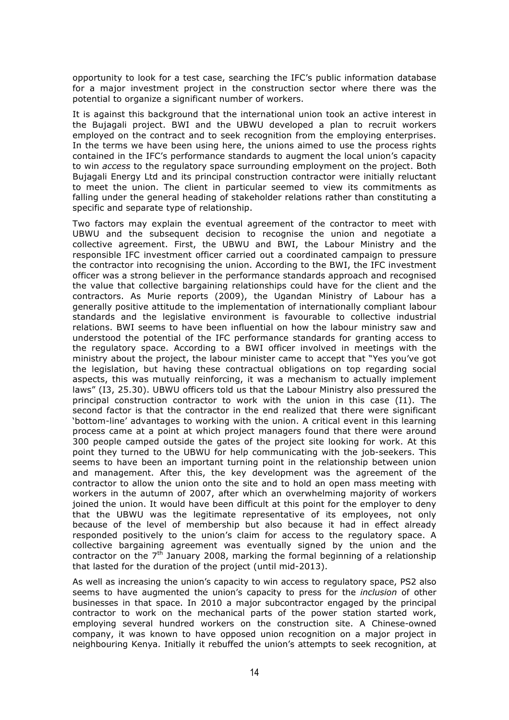opportunity to look for a test case, searching the IFC's public information database for a major investment project in the construction sector where there was the potential to organize a significant number of workers.

It is against this background that the international union took an active interest in the Bujagali project. BWI and the UBWU developed a plan to recruit workers employed on the contract and to seek recognition from the employing enterprises. In the terms we have been using here, the unions aimed to use the process rights contained in the IFC's performance standards to augment the local union's capacity to win *access* to the regulatory space surrounding employment on the project. Both Bujagali Energy Ltd and its principal construction contractor were initially reluctant to meet the union. The client in particular seemed to view its commitments as falling under the general heading of stakeholder relations rather than constituting a specific and separate type of relationship.

Two factors may explain the eventual agreement of the contractor to meet with UBWU and the subsequent decision to recognise the union and negotiate a collective agreement. First, the UBWU and BWI, the Labour Ministry and the responsible IFC investment officer carried out a coordinated campaign to pressure the contractor into recognising the union. According to the BWI, the IFC investment officer was a strong believer in the performance standards approach and recognised the value that collective bargaining relationships could have for the client and the contractors. As Murie reports (2009), the Ugandan Ministry of Labour has a generally positive attitude to the implementation of internationally compliant labour standards and the legislative environment is favourable to collective industrial relations. BWI seems to have been influential on how the labour ministry saw and understood the potential of the IFC performance standards for granting access to the regulatory space. According to a BWI officer involved in meetings with the ministry about the project, the labour minister came to accept that "Yes you've got the legislation, but having these contractual obligations on top regarding social aspects, this was mutually reinforcing, it was a mechanism to actually implement laws" (I3, 25.30). UBWU officers told us that the Labour Ministry also pressured the principal construction contractor to work with the union in this case (I1). The second factor is that the contractor in the end realized that there were significant 'bottom-line' advantages to working with the union. A critical event in this learning process came at a point at which project managers found that there were around 300 people camped outside the gates of the project site looking for work. At this point they turned to the UBWU for help communicating with the job-seekers. This seems to have been an important turning point in the relationship between union and management. After this, the key development was the agreement of the contractor to allow the union onto the site and to hold an open mass meeting with workers in the autumn of 2007, after which an overwhelming majority of workers joined the union. It would have been difficult at this point for the employer to deny that the UBWU was the legitimate representative of its employees, not only because of the level of membership but also because it had in effect already responded positively to the union's claim for access to the regulatory space. A collective bargaining agreement was eventually signed by the union and the contractor on the  $7<sup>th</sup>$  January 2008, marking the formal beginning of a relationship that lasted for the duration of the project (until mid-2013).

As well as increasing the union's capacity to win access to regulatory space, PS2 also seems to have augmented the union's capacity to press for the *inclusion* of other businesses in that space. In 2010 a major subcontractor engaged by the principal contractor to work on the mechanical parts of the power station started work, employing several hundred workers on the construction site. A Chinese-owned company, it was known to have opposed union recognition on a major project in neighbouring Kenya. Initially it rebuffed the union's attempts to seek recognition, at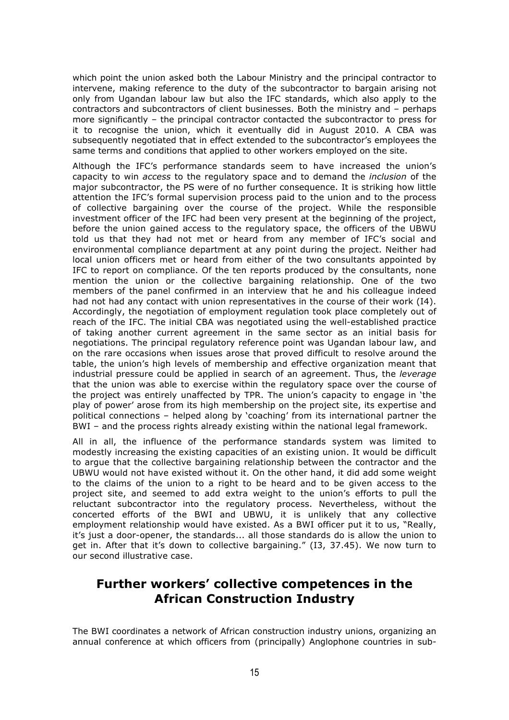which point the union asked both the Labour Ministry and the principal contractor to intervene, making reference to the duty of the subcontractor to bargain arising not only from Ugandan labour law but also the IFC standards, which also apply to the contractors and subcontractors of client businesses. Both the ministry and – perhaps more significantly – the principal contractor contacted the subcontractor to press for it to recognise the union, which it eventually did in August 2010. A CBA was subsequently negotiated that in effect extended to the subcontractor's employees the same terms and conditions that applied to other workers employed on the site.

Although the IFC's performance standards seem to have increased the union's capacity to win *access* to the regulatory space and to demand the *inclusion* of the major subcontractor, the PS were of no further consequence. It is striking how little attention the IFC's formal supervision process paid to the union and to the process of collective bargaining over the course of the project. While the responsible investment officer of the IFC had been very present at the beginning of the project, before the union gained access to the regulatory space, the officers of the UBWU told us that they had not met or heard from any member of IFC's social and environmental compliance department at any point during the project. Neither had local union officers met or heard from either of the two consultants appointed by IFC to report on compliance. Of the ten reports produced by the consultants, none mention the union or the collective bargaining relationship. One of the two members of the panel confirmed in an interview that he and his colleague indeed had not had any contact with union representatives in the course of their work (I4). Accordingly, the negotiation of employment regulation took place completely out of reach of the IFC. The initial CBA was negotiated using the well-established practice of taking another current agreement in the same sector as an initial basis for negotiations. The principal regulatory reference point was Ugandan labour law, and on the rare occasions when issues arose that proved difficult to resolve around the table, the union's high levels of membership and effective organization meant that industrial pressure could be applied in search of an agreement. Thus, the *leverage* that the union was able to exercise within the regulatory space over the course of the project was entirely unaffected by TPR. The union's capacity to engage in 'the play of power' arose from its high membership on the project site, its expertise and political connections – helped along by 'coaching' from its international partner the BWI – and the process rights already existing within the national legal framework.

All in all, the influence of the performance standards system was limited to modestly increasing the existing capacities of an existing union. It would be difficult to argue that the collective bargaining relationship between the contractor and the UBWU would not have existed without it. On the other hand, it did add some weight to the claims of the union to a right to be heard and to be given access to the project site, and seemed to add extra weight to the union's efforts to pull the reluctant subcontractor into the regulatory process. Nevertheless, without the concerted efforts of the BWI and UBWU, it is unlikely that any collective employment relationship would have existed. As a BWI officer put it to us, "Really, it's just a door-opener, the standards... all those standards do is allow the union to get in. After that it's down to collective bargaining." (I3, 37.45). We now turn to our second illustrative case.

#### **Further workers' collective competences in the African Construction Industry**

The BWI coordinates a network of African construction industry unions, organizing an annual conference at which officers from (principally) Anglophone countries in sub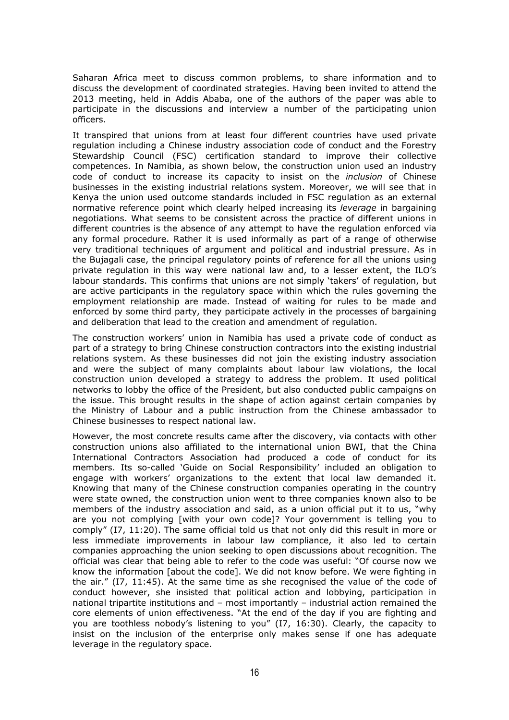Saharan Africa meet to discuss common problems, to share information and to discuss the development of coordinated strategies. Having been invited to attend the 2013 meeting, held in Addis Ababa, one of the authors of the paper was able to participate in the discussions and interview a number of the participating union officers.

It transpired that unions from at least four different countries have used private regulation including a Chinese industry association code of conduct and the Forestry Stewardship Council (FSC) certification standard to improve their collective competences. In Namibia, as shown below, the construction union used an industry code of conduct to increase its capacity to insist on the *inclusion* of Chinese businesses in the existing industrial relations system. Moreover, we will see that in Kenya the union used outcome standards included in FSC regulation as an external normative reference point which clearly helped increasing its *leverage* in bargaining negotiations. What seems to be consistent across the practice of different unions in different countries is the absence of any attempt to have the regulation enforced via any formal procedure. Rather it is used informally as part of a range of otherwise very traditional techniques of argument and political and industrial pressure. As in the Bujagali case, the principal regulatory points of reference for all the unions using private regulation in this way were national law and, to a lesser extent, the ILO's labour standards. This confirms that unions are not simply 'takers' of regulation, but are active participants in the regulatory space within which the rules governing the employment relationship are made. Instead of waiting for rules to be made and enforced by some third party, they participate actively in the processes of bargaining and deliberation that lead to the creation and amendment of regulation.

The construction workers' union in Namibia has used a private code of conduct as part of a strategy to bring Chinese construction contractors into the existing industrial relations system. As these businesses did not join the existing industry association and were the subject of many complaints about labour law violations, the local construction union developed a strategy to address the problem. It used political networks to lobby the office of the President, but also conducted public campaigns on the issue. This brought results in the shape of action against certain companies by the Ministry of Labour and a public instruction from the Chinese ambassador to Chinese businesses to respect national law.

However, the most concrete results came after the discovery, via contacts with other construction unions also affiliated to the international union BWI, that the China International Contractors Association had produced a code of conduct for its members. Its so-called 'Guide on Social Responsibility' included an obligation to engage with workers' organizations to the extent that local law demanded it. Knowing that many of the Chinese construction companies operating in the country were state owned, the construction union went to three companies known also to be members of the industry association and said, as a union official put it to us, "why are you not complying [with your own code]? Your government is telling you to comply" (I7, 11:20). The same official told us that not only did this result in more or less immediate improvements in labour law compliance, it also led to certain companies approaching the union seeking to open discussions about recognition. The official was clear that being able to refer to the code was useful: "Of course now we know the information [about the code]. We did not know before. We were fighting in the air." (I7, 11:45). At the same time as she recognised the value of the code of conduct however, she insisted that political action and lobbying, participation in national tripartite institutions and – most importantly – industrial action remained the core elements of union effectiveness. "At the end of the day if you are fighting and you are toothless nobody's listening to you" (I7, 16:30). Clearly, the capacity to insist on the inclusion of the enterprise only makes sense if one has adequate leverage in the regulatory space.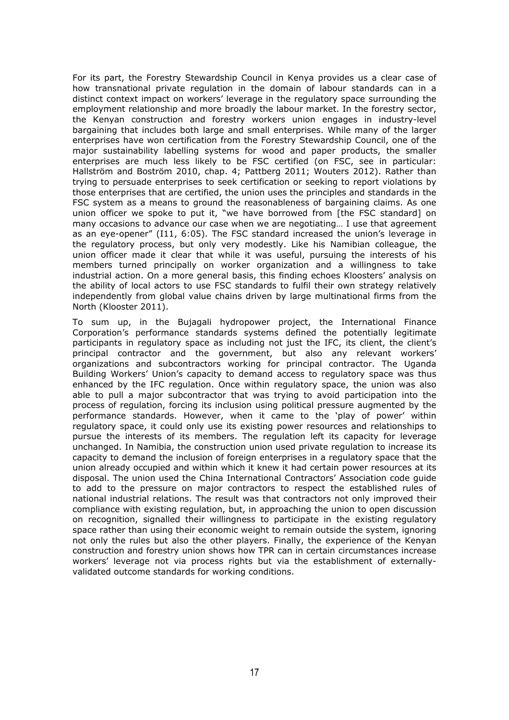For its part, the Forestry Stewardship Council in Kenya provides us a clear case of how transnational private regulation in the domain of labour standards can in a distinct context impact on workers' leverage in the regulatory space surrounding the employment relationship and more broadly the labour market. In the forestry sector, the Kenyan construction and forestry workers union engages in industry-level bargaining that includes both large and small enterprises. While many of the larger enterprises have won certification from the Forestry Stewardship Council, one of the major sustainability labelling systems for wood and paper products, the smaller enterprises are much less likely to be FSC certified (on FSC, see in particular: Hallström and Boström 2010, chap. 4; Pattberg 2011; Wouters 2012). Rather than trying to persuade enterprises to seek certification or seeking to report violations by those enterprises that are certified, the union uses the principles and standards in the FSC system as a means to ground the reasonableness of bargaining claims. As one union officer we spoke to put it, "we have borrowed from [the FSC standard] on many occasions to advance our case when we are negotiating… I use that agreement as an eye-opener" (I11, 6:05). The FSC standard increased the union's leverage in the regulatory process, but only very modestly. Like his Namibian colleague, the union officer made it clear that while it was useful, pursuing the interests of his members turned principally on worker organization and a willingness to take industrial action. On a more general basis, this finding echoes Kloosters' analysis on the ability of local actors to use FSC standards to fulfil their own strategy relatively independently from global value chains driven by large multinational firms from the North (Klooster 2011).

To sum up, in the Bujagali hydropower project, the International Finance Corporation's performance standards systems defined the potentially legitimate participants in regulatory space as including not just the IFC, its client, the client's principal contractor and the government, but also any relevant workers' organizations and subcontractors working for principal contractor. The Uganda Building Workers' Union's capacity to demand access to regulatory space was thus enhanced by the IFC regulation. Once within regulatory space, the union was also able to pull a major subcontractor that was trying to avoid participation into the process of regulation, forcing its inclusion using political pressure augmented by the performance standards. However, when it came to the 'play of power' within regulatory space, it could only use its existing power resources and relationships to pursue the interests of its members. The regulation left its capacity for leverage unchanged. In Namibia, the construction union used private regulation to increase its capacity to demand the inclusion of foreign enterprises in a regulatory space that the union already occupied and within which it knew it had certain power resources at its disposal. The union used the China International Contractors' Association code guide to add to the pressure on major contractors to respect the established rules of national industrial relations. The result was that contractors not only improved their compliance with existing regulation, but, in approaching the union to open discussion on recognition, signalled their willingness to participate in the existing regulatory space rather than using their economic weight to remain outside the system, ignoring not only the rules but also the other players. Finally, the experience of the Kenyan construction and forestry union shows how TPR can in certain circumstances increase workers' leverage not via process rights but via the establishment of externallyvalidated outcome standards for working conditions.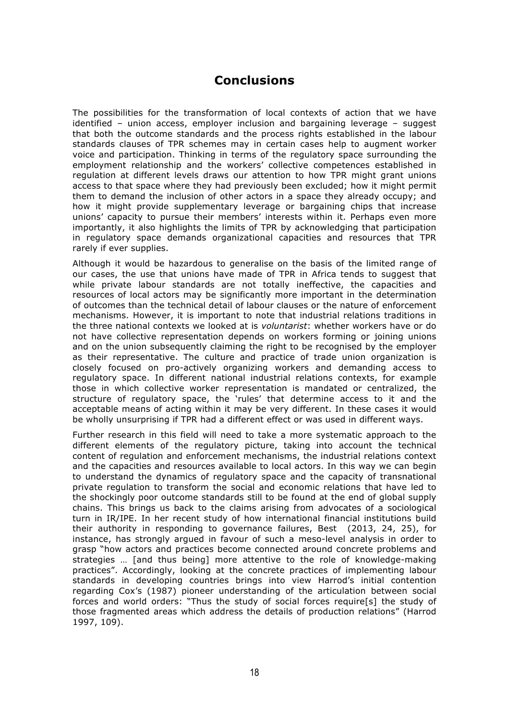#### **Conclusions**

The possibilities for the transformation of local contexts of action that we have identified – union access, employer inclusion and bargaining leverage – suggest that both the outcome standards and the process rights established in the labour standards clauses of TPR schemes may in certain cases help to augment worker voice and participation. Thinking in terms of the regulatory space surrounding the employment relationship and the workers' collective competences established in regulation at different levels draws our attention to how TPR might grant unions access to that space where they had previously been excluded; how it might permit them to demand the inclusion of other actors in a space they already occupy; and how it might provide supplementary leverage or bargaining chips that increase unions' capacity to pursue their members' interests within it. Perhaps even more importantly, it also highlights the limits of TPR by acknowledging that participation in regulatory space demands organizational capacities and resources that TPR rarely if ever supplies.

Although it would be hazardous to generalise on the basis of the limited range of our cases, the use that unions have made of TPR in Africa tends to suggest that while private labour standards are not totally ineffective, the capacities and resources of local actors may be significantly more important in the determination of outcomes than the technical detail of labour clauses or the nature of enforcement mechanisms. However, it is important to note that industrial relations traditions in the three national contexts we looked at is *voluntarist*: whether workers have or do not have collective representation depends on workers forming or joining unions and on the union subsequently claiming the right to be recognised by the employer as their representative. The culture and practice of trade union organization is closely focused on pro-actively organizing workers and demanding access to regulatory space. In different national industrial relations contexts, for example those in which collective worker representation is mandated or centralized, the structure of regulatory space, the 'rules' that determine access to it and the acceptable means of acting within it may be very different. In these cases it would be wholly unsurprising if TPR had a different effect or was used in different ways.

Further research in this field will need to take a more systematic approach to the different elements of the regulatory picture, taking into account the technical content of regulation and enforcement mechanisms, the industrial relations context and the capacities and resources available to local actors. In this way we can begin to understand the dynamics of regulatory space and the capacity of transnational private regulation to transform the social and economic relations that have led to the shockingly poor outcome standards still to be found at the end of global supply chains. This brings us back to the claims arising from advocates of a sociological turn in IR/IPE. In her recent study of how international financial institutions build their authority in responding to governance failures, Best (2013, 24, 25), for instance, has strongly argued in favour of such a meso-level analysis in order to grasp "how actors and practices become connected around concrete problems and strategies … [and thus being] more attentive to the role of knowledge-making practices". Accordingly, looking at the concrete practices of implementing labour standards in developing countries brings into view Harrod's initial contention regarding Cox's (1987) pioneer understanding of the articulation between social forces and world orders: "Thus the study of social forces require[s] the study of those fragmented areas which address the details of production relations" (Harrod 1997, 109).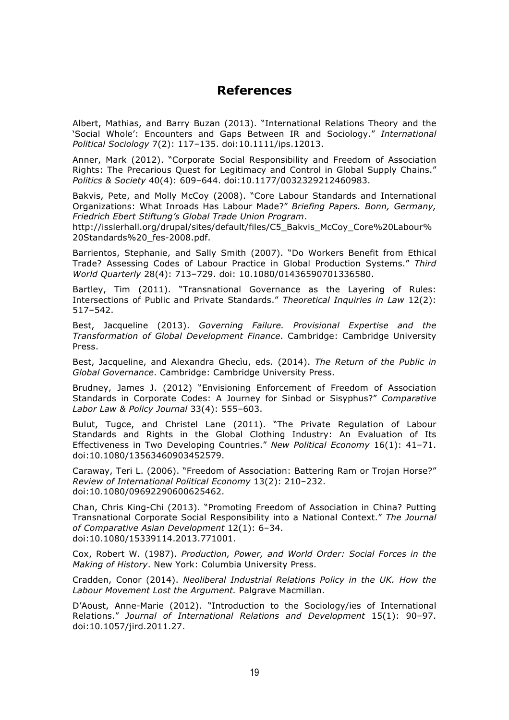#### **References**

Albert, Mathias, and Barry Buzan (2013). "International Relations Theory and the 'Social Whole': Encounters and Gaps Between IR and Sociology." *International Political Sociology* 7(2): 117–135. doi:10.1111/ips.12013.

Anner, Mark (2012). "Corporate Social Responsibility and Freedom of Association Rights: The Precarious Quest for Legitimacy and Control in Global Supply Chains." *Politics & Society* 40(4): 609–644. doi:10.1177/0032329212460983.

Bakvis, Pete, and Molly McCoy (2008). "Core Labour Standards and International Organizations: What Inroads Has Labour Made?" *Briefing Papers. Bonn, Germany, Friedrich Ebert Stiftung's Global Trade Union Program*.

http://isslerhall.org/drupal/sites/default/files/C5\_Bakvis\_McCoy\_Core%20Labour% 20Standards%20\_fes-2008.pdf.

Barrientos, Stephanie, and Sally Smith (2007). "Do Workers Benefit from Ethical Trade? Assessing Codes of Labour Practice in Global Production Systems." *Third World Quarterly* 28(4): 713–729. doi: 10.1080/01436590701336580.

Bartley, Tim (2011). "Transnational Governance as the Layering of Rules: Intersections of Public and Private Standards." *Theoretical Inquiries in Law* 12(2): 517–542.

Best, Jacqueline (2013). *Governing Failure. Provisional Expertise and the Transformation of Global Development Finance*. Cambridge: Cambridge University Press.

Best, Jacqueline, and Alexandra Ghecìu, eds. (2014). *The Return of the Public in Global Governance*. Cambridge: Cambridge University Press.

Brudney, James J. (2012) "Envisioning Enforcement of Freedom of Association Standards in Corporate Codes: A Journey for Sinbad or Sisyphus?" *Comparative Labor Law & Policy Journal* 33(4): 555–603.

Bulut, Tugce, and Christel Lane (2011). "The Private Regulation of Labour Standards and Rights in the Global Clothing Industry: An Evaluation of Its Effectiveness in Two Developing Countries." *New Political Economy* 16(1): 41–71. doi:10.1080/13563460903452579.

Caraway, Teri L. (2006). "Freedom of Association: Battering Ram or Trojan Horse?" *Review of International Political Economy* 13(2): 210–232. doi:10.1080/09692290600625462.

Chan, Chris King-Chi (2013). "Promoting Freedom of Association in China? Putting Transnational Corporate Social Responsibility into a National Context." *The Journal of Comparative Asian Development* 12(1): 6–34. doi:10.1080/15339114.2013.771001.

Cox, Robert W. (1987). *Production, Power, and World Order: Social Forces in the Making of History*. New York: Columbia University Press.

Cradden, Conor (2014). *Neoliberal Industrial Relations Policy in the UK. How the Labour Movement Lost the Argument.* Palgrave Macmillan.

D'Aoust, Anne-Marie (2012). "Introduction to the Sociology/ies of International Relations." *Journal of International Relations and Development* 15(1): 90–97. doi:10.1057/jird.2011.27.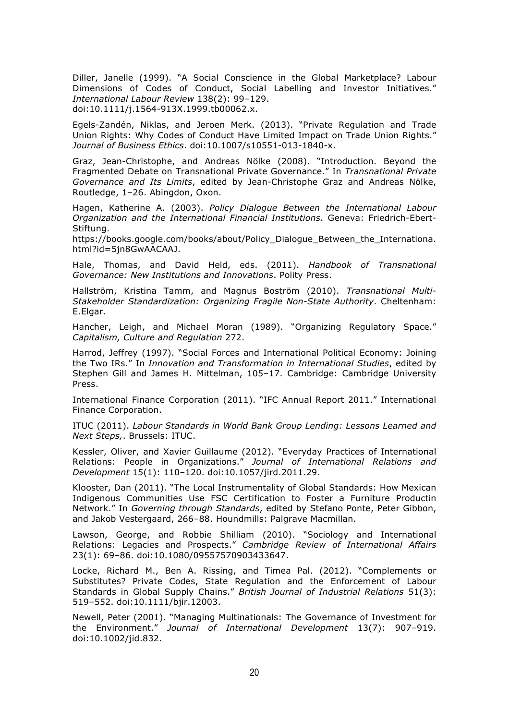Diller, Janelle (1999). "A Social Conscience in the Global Marketplace? Labour Dimensions of Codes of Conduct, Social Labelling and Investor Initiatives." *International Labour Review* 138(2): 99–129. doi:10.1111/j.1564-913X.1999.tb00062.x.

Egels-Zandén, Niklas, and Jeroen Merk. (2013). "Private Regulation and Trade Union Rights: Why Codes of Conduct Have Limited Impact on Trade Union Rights." *Journal of Business Ethics*. doi:10.1007/s10551-013-1840-x.

Graz, Jean-Christophe, and Andreas Nölke (2008). "Introduction. Beyond the Fragmented Debate on Transnational Private Governance." In *Transnational Private Governance and Its Limits*, edited by Jean-Christophe Graz and Andreas Nölke, Routledge, 1–26. Abingdon, Oxon.

Hagen, Katherine A. (2003). *Policy Dialogue Between the International Labour Organization and the International Financial Institutions*. Geneva: Friedrich-Ebert-Stiftung.

https://books.google.com/books/about/Policy Dialogue Between the Internationa. html?id=5jn8GwAACAAJ.

Hale, Thomas, and David Held, eds. (2011). *Handbook of Transnational Governance: New Institutions and Innovations*. Polity Press.

Hallström, Kristina Tamm, and Magnus Boström (2010). *Transnational Multi-Stakeholder Standardization: Organizing Fragile Non-State Authority*. Cheltenham: E.Elgar.

Hancher, Leigh, and Michael Moran (1989). "Organizing Regulatory Space." *Capitalism, Culture and Regulation* 272.

Harrod, Jeffrey (1997). "Social Forces and International Political Economy: Joining the Two IRs." In *Innovation and Transformation in International Studies*, edited by Stephen Gill and James H. Mittelman, 105–17. Cambridge: Cambridge University Press.

International Finance Corporation (2011). "IFC Annual Report 2011." International Finance Corporation.

ITUC (2011). *Labour Standards in World Bank Group Lending: Lessons Learned and Next Steps,*. Brussels: ITUC.

Kessler, Oliver, and Xavier Guillaume (2012). "Everyday Practices of International Relations: People in Organizations." *Journal of International Relations and Development* 15(1): 110–120. doi:10.1057/jird.2011.29.

Klooster, Dan (2011). "The Local Instrumentality of Global Standards: How Mexican Indigenous Communities Use FSC Certification to Foster a Furniture Productin Network." In *Governing through Standards*, edited by Stefano Ponte, Peter Gibbon, and Jakob Vestergaard, 266–88. Houndmills: Palgrave Macmillan.

Lawson, George, and Robbie Shilliam (2010). "Sociology and International Relations: Legacies and Prospects." *Cambridge Review of International Affairs* 23(1): 69–86. doi:10.1080/09557570903433647.

Locke, Richard M., Ben A. Rissing, and Timea Pal. (2012). "Complements or Substitutes? Private Codes, State Regulation and the Enforcement of Labour Standards in Global Supply Chains." *British Journal of Industrial Relations* 51(3): 519–552. doi:10.1111/bjir.12003.

Newell, Peter (2001). "Managing Multinationals: The Governance of Investment for the Environment." *Journal of International Development* 13(7): 907–919. doi:10.1002/jid.832.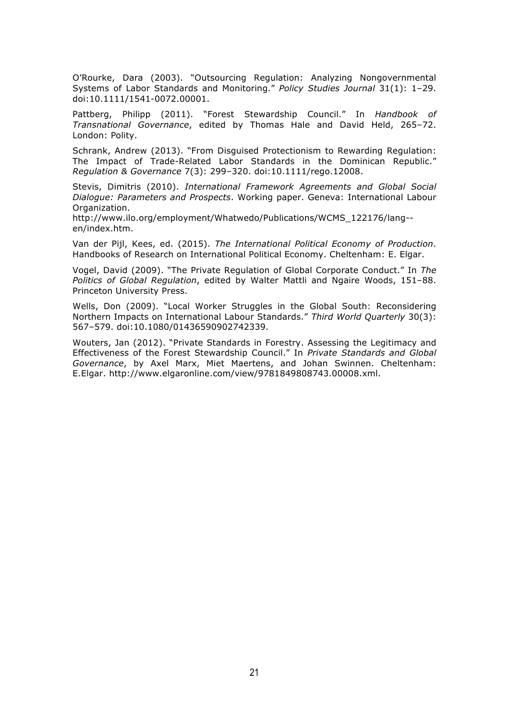O'Rourke, Dara (2003). "Outsourcing Regulation: Analyzing Nongovernmental Systems of Labor Standards and Monitoring." *Policy Studies Journal* 31(1): 1–29. doi:10.1111/1541-0072.00001.

Pattberg, Philipp (2011). "Forest Stewardship Council." In *Handbook of Transnational Governance*, edited by Thomas Hale and David Held, 265–72. London: Polity.

Schrank, Andrew (2013). "From Disguised Protectionism to Rewarding Regulation: The Impact of Trade-Related Labor Standards in the Dominican Republic." *Regulation & Governance* 7(3): 299–320. doi:10.1111/rego.12008.

Stevis, Dimitris (2010). *International Framework Agreements and Global Social Dialogue: Parameters and Prospects*. Working paper. Geneva: International Labour Organization.

http://www.ilo.org/employment/Whatwedo/Publications/WCMS\_122176/lang- en/index.htm.

Van der Pijl, Kees, ed. (2015). *The International Political Economy of Production*. Handbooks of Research on International Political Economy. Cheltenham: E. Elgar.

Vogel, David (2009). "The Private Regulation of Global Corporate Conduct." In *The Politics of Global Regulation*, edited by Walter Mattli and Ngaire Woods, 151–88. Princeton University Press.

Wells, Don (2009). "Local Worker Struggles in the Global South: Reconsidering Northern Impacts on International Labour Standards." *Third World Quarterly* 30(3): 567–579. doi:10.1080/01436590902742339.

Wouters, Jan (2012). "Private Standards in Forestry. Assessing the Legitimacy and Effectiveness of the Forest Stewardship Council." In *Private Standards and Global Governance*, by Axel Marx, Miet Maertens, and Johan Swinnen. Cheltenham: E.Elgar. http://www.elgaronline.com/view/9781849808743.00008.xml.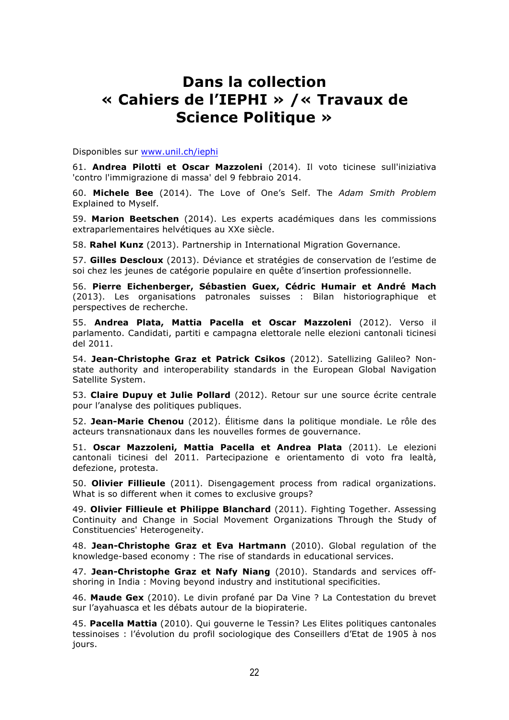## **Dans la collection « Cahiers de l'IEPHI » /« Travaux de Science Politique »**

Disponibles sur www.unil.ch/iephi

61. **Andrea Pilotti et Oscar Mazzoleni** (2014). Il voto ticinese sull'iniziativa 'contro l'immigrazione di massa' del 9 febbraio 2014.

60. **Michele Bee** (2014). The Love of One's Self. The *Adam Smith Problem* Explained to Myself.

59. **Marion Beetschen** (2014). Les experts académiques dans les commissions extraparlementaires helvétiques au XXe siècle.

58. **Rahel Kunz** (2013). Partnership in International Migration Governance.

57. **Gilles Descloux** (2013). Déviance et stratégies de conservation de l'estime de soi chez les jeunes de catégorie populaire en quête d'insertion professionnelle.

56. **Pierre Eichenberger, Sébastien Guex, Cédric Humair et André Mach** (2013). Les organisations patronales suisses : Bilan historiographique et perspectives de recherche.

55. **Andrea Plata, Mattia Pacella et Oscar Mazzoleni** (2012). Verso il parlamento. Candidati, partiti e campagna elettorale nelle elezioni cantonali ticinesi del 2011.

54. **Jean-Christophe Graz et Patrick Csikos** (2012). Satellizing Galileo? Nonstate authority and interoperability standards in the European Global Navigation Satellite System.

53. **Claire Dupuy et Julie Pollard** (2012). Retour sur une source écrite centrale pour l'analyse des politiques publiques.

52. **Jean-Marie Chenou** (2012). Élitisme dans la politique mondiale. Le rôle des acteurs transnationaux dans les nouvelles formes de gouvernance.

51. **Oscar Mazzoleni, Mattia Pacella et Andrea Plata** (2011). Le elezioni cantonali ticinesi del 2011. Partecipazione e orientamento di voto fra lealtà, defezione, protesta.

50. **Olivier Fillieule** (2011). Disengagement process from radical organizations. What is so different when it comes to exclusive groups?

49. **Olivier Fillieule et Philippe Blanchard** (2011). Fighting Together. Assessing Continuity and Change in Social Movement Organizations Through the Study of Constituencies' Heterogeneity.

48. **Jean-Christophe Graz et Eva Hartmann** (2010). Global regulation of the knowledge-based economy : The rise of standards in educational services.

47. **Jean-Christophe Graz et Nafy Niang** (2010). Standards and services offshoring in India : Moving beyond industry and institutional specificities.

46. **Maude Gex** (2010). Le divin profané par Da Vine ? La Contestation du brevet sur l'ayahuasca et les débats autour de la biopiraterie.

45. **Pacella Mattia** (2010). Qui gouverne le Tessin? Les Elites politiques cantonales tessinoises : l'évolution du profil sociologique des Conseillers d'Etat de 1905 à nos jours.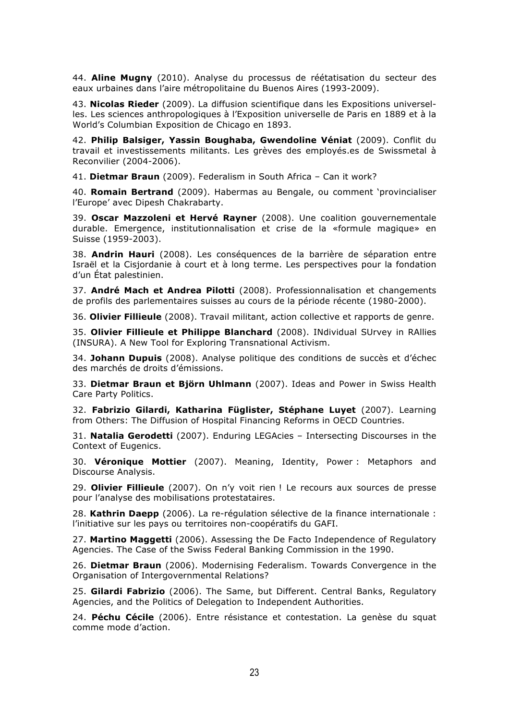44. **Aline Mugny** (2010). Analyse du processus de réétatisation du secteur des eaux urbaines dans l'aire métropolitaine du Buenos Aires (1993-2009).

43. **Nicolas Rieder** (2009). La diffusion scientifique dans les Expositions universelles. Les sciences anthropologiques à l'Exposition universelle de Paris en 1889 et à la World's Columbian Exposition de Chicago en 1893.

42. **Philip Balsiger, Yassin Boughaba, Gwendoline Véniat** (2009). Conflit du travail et investissements militants. Les grèves des employés.es de Swissmetal à Reconvilier (2004-2006).

41. **Dietmar Braun** (2009). Federalism in South Africa – Can it work?

40. **Romain Bertrand** (2009). Habermas au Bengale, ou comment 'provincialiser l'Europe' avec Dipesh Chakrabarty.

39. **Oscar Mazzoleni et Hervé Rayner** (2008). Une coalition gouvernementale durable. Emergence, institutionnalisation et crise de la «formule magique» en Suisse (1959-2003).

38. **Andrin Hauri** (2008). Les conséquences de la barrière de séparation entre Israël et la Cisjordanie à court et à long terme. Les perspectives pour la fondation d'un État palestinien.

37. **André Mach et Andrea Pilotti** (2008). Professionnalisation et changements de profils des parlementaires suisses au cours de la période récente (1980-2000).

36. **Olivier Fillieule** (2008). Travail militant, action collective et rapports de genre.

35. **Olivier Fillieule et Philippe Blanchard** (2008). INdividual SUrvey in RAllies (INSURA). A New Tool for Exploring Transnational Activism.

34. **Johann Dupuis** (2008). Analyse politique des conditions de succès et d'échec des marchés de droits d'émissions.

33. **Dietmar Braun et Björn Uhlmann** (2007). Ideas and Power in Swiss Health Care Party Politics.

32. **Fabrizio Gilardi, Katharina Füglister, Stéphane Luyet** (2007). Learning from Others: The Diffusion of Hospital Financing Reforms in OECD Countries.

31. **Natalia Gerodetti** (2007). Enduring LEGAcies – Intersecting Discourses in the Context of Eugenics.

30. **Véronique Mottier** (2007). Meaning, Identity, Power : Metaphors and Discourse Analysis.

29. **Olivier Fillieule** (2007). On n'y voit rien ! Le recours aux sources de presse pour l'analyse des mobilisations protestataires.

28. **Kathrin Daepp** (2006). La re-régulation sélective de la finance internationale : l'initiative sur les pays ou territoires non-coopératifs du GAFI.

27. **Martino Maggetti** (2006). Assessing the De Facto Independence of Regulatory Agencies. The Case of the Swiss Federal Banking Commission in the 1990.

26. **Dietmar Braun** (2006). Modernising Federalism. Towards Convergence in the Organisation of Intergovernmental Relations?

25. **Gilardi Fabrizio** (2006). The Same, but Different. Central Banks, Regulatory Agencies, and the Politics of Delegation to Independent Authorities.

24. **Péchu Cécile** (2006). Entre résistance et contestation. La genèse du squat comme mode d'action.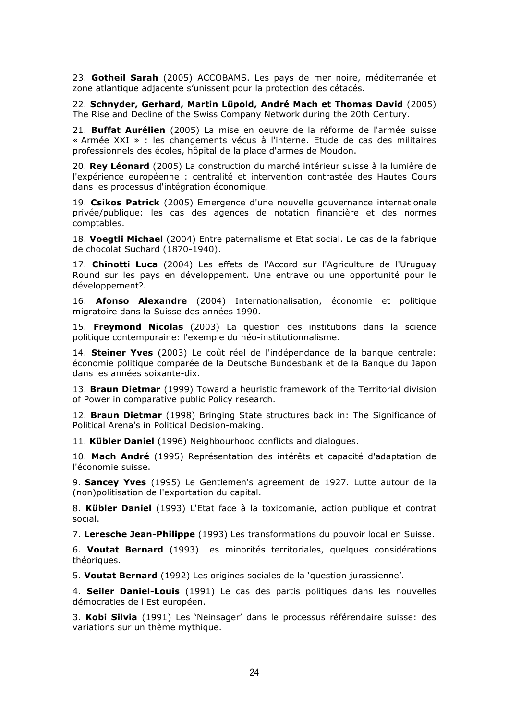23. **Gotheil Sarah** (2005) ACCOBAMS. Les pays de mer noire, méditerranée et zone atlantique adjacente s'unissent pour la protection des cétacés.

22. **Schnyder, Gerhard, Martin Lüpold, André Mach et Thomas David** (2005) The Rise and Decline of the Swiss Company Network during the 20th Century.

21. **Buffat Aurélien** (2005) La mise en oeuvre de la réforme de l'armée suisse « Armée XXI » : les changements vécus à l'interne. Etude de cas des militaires professionnels des écoles, hôpital de la place d'armes de Moudon.

20. **Rey Léonard** (2005) La construction du marché intérieur suisse à la lumière de l'expérience européenne : centralité et intervention contrastée des Hautes Cours dans les processus d'intégration économique.

19. **Csikos Patrick** (2005) Emergence d'une nouvelle gouvernance internationale privée/publique: les cas des agences de notation financière et des normes comptables.

18. **Voegtli Michael** (2004) Entre paternalisme et Etat social. Le cas de la fabrique de chocolat Suchard (1870-1940).

17. **Chinotti Luca** (2004) Les effets de l'Accord sur l'Agriculture de l'Uruguay Round sur les pays en développement. Une entrave ou une opportunité pour le développement?.

16. **Afonso Alexandre** (2004) Internationalisation, économie et politique migratoire dans la Suisse des années 1990.

15. **Freymond Nicolas** (2003) La question des institutions dans la science politique contemporaine: l'exemple du néo-institutionnalisme.

14. **Steiner Yves** (2003) Le coût réel de l'indépendance de la banque centrale: économie politique comparée de la Deutsche Bundesbank et de la Banque du Japon dans les années soixante-dix.

13. **Braun Dietmar** (1999) Toward a heuristic framework of the Territorial division of Power in comparative public Policy research.

12. **Braun Dietmar** (1998) Bringing State structures back in: The Significance of Political Arena's in Political Decision-making.

11. **Kübler Daniel** (1996) Neighbourhood conflicts and dialogues.

10. **Mach André** (1995) Représentation des intérêts et capacité d'adaptation de l'économie suisse.

9. **Sancey Yves** (1995) Le Gentlemen's agreement de 1927. Lutte autour de la (non)politisation de l'exportation du capital.

8. **Kübler Daniel** (1993) L'Etat face à la toxicomanie, action publique et contrat social.

7. **Leresche Jean-Philippe** (1993) Les transformations du pouvoir local en Suisse.

6. **Voutat Bernard** (1993) Les minorités territoriales, quelques considérations théoriques.

5. **Voutat Bernard** (1992) Les origines sociales de la 'question jurassienne'.

4. **Seiler Daniel-Louis** (1991) Le cas des partis politiques dans les nouvelles démocraties de l'Est européen.

3. **Kobi Silvia** (1991) Les 'Neinsager' dans le processus référendaire suisse: des variations sur un thème mythique.